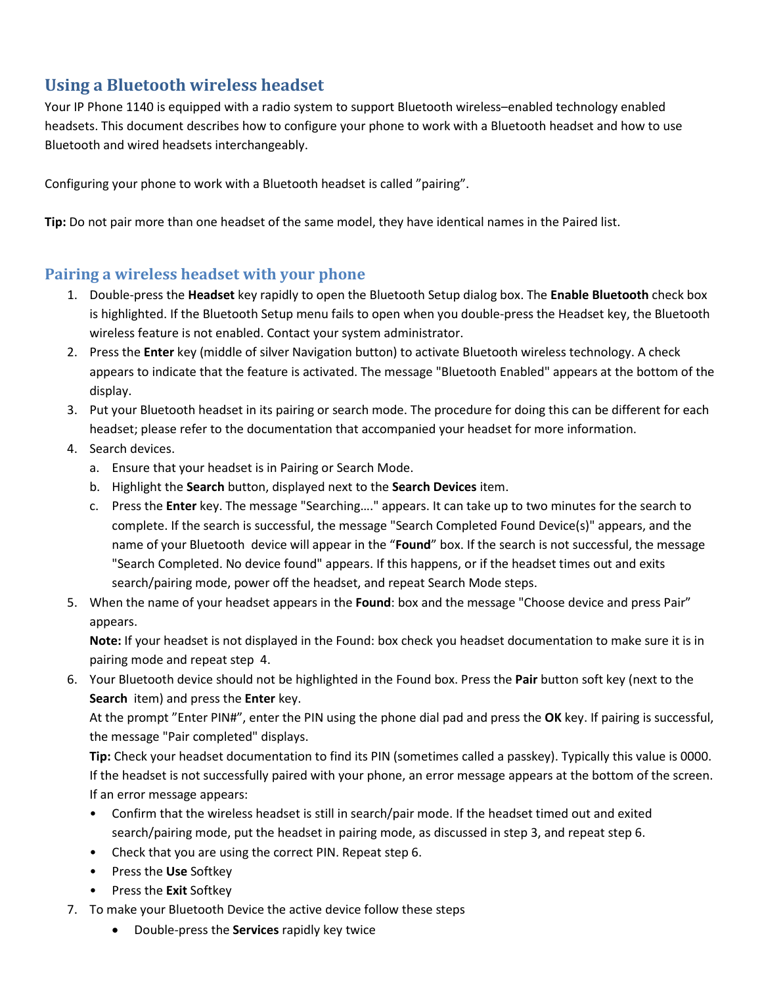## **Using a Bluetooth wireless headset**

Your IP Phone 1140 is equipped with a radio system to support Bluetooth wireless–enabled technology enabled headsets. This document describes how to configure your phone to work with a Bluetooth headset and how to use Bluetooth and wired headsets interchangeably.

Configuring your phone to work with a Bluetooth headset is called "pairing".

**Tip:** Do not pair more than one headset of the same model, they have identical names in the Paired list.

## **Pairing a wireless headset with your phone**

- 1. Double-press the **Headset** key rapidly to open the Bluetooth Setup dialog box. The **Enable Bluetooth** check box is highlighted. If the Bluetooth Setup menu fails to open when you double-press the Headset key, the Bluetooth wireless feature is not enabled. Contact your system administrator.
- 2. Press the **Enter** key (middle of silver Navigation button) to activate Bluetooth wireless technology. A check appears to indicate that the feature is activated. The message "Bluetooth Enabled" appears at the bottom of the display.
- 3. Put your Bluetooth headset in its pairing or search mode. The procedure for doing this can be different for each headset; please refer to the documentation that accompanied your headset for more information.
- 4. Search devices.
	- a. Ensure that your headset is in Pairing or Search Mode.
	- b. Highlight the **Search** button, displayed next to the **Search Devices** item.
	- c. Press the **Enter** key. The message "Searching…." appears. It can take up to two minutes for the search to complete. If the search is successful, the message "Search Completed Found Device(s)" appears, and the name of your Bluetooth device will appear in the "**Found**" box. If the search is not successful, the message "Search Completed. No device found" appears. If this happens, or if the headset times out and exits search/pairing mode, power off the headset, and repeat Search Mode steps.
- 5. When the name of your headset appears in the **Found**: box and the message "Choose device and press Pair" appears.

**Note:** If your headset is not displayed in the Found: box check you headset documentation to make sure it is in pairing mode and repeat step 4.

6. Your Bluetooth device should not be highlighted in the Found box. Press the **Pair** button soft key (next to the **Search** item) and press the **Enter** key.

At the prompt "Enter PIN#", enter the PIN using the phone dial pad and press the **OK** key. If pairing is successful, the message "Pair completed" displays.

**Tip:** Check your headset documentation to find its PIN (sometimes called a passkey). Typically this value is 0000. If the headset is not successfully paired with your phone, an error message appears at the bottom of the screen. If an error message appears:

- Confirm that the wireless headset is still in search/pair mode. If the headset timed out and exited search/pairing mode, put the headset in pairing mode, as discussed in step 3, and repeat step 6.
- Check that you are using the correct PIN. Repeat step 6.
- Press the **Use** Softkey
- Press the **Exit** Softkey
- 7. To make your Bluetooth Device the active device follow these steps
	- Double-press the **Services** rapidly key twice